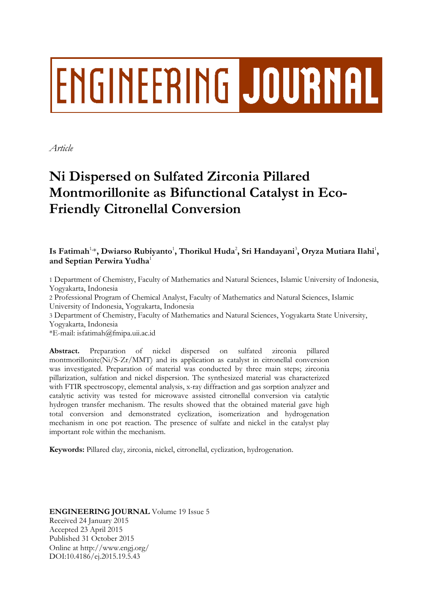# **ENGINEERING JOURNAL**

*Article*

# **Ni Dispersed on Sulfated Zirconia Pillared Montmorillonite as Bifunctional Catalyst in Eco-Friendly Citronellal Conversion**

## Is Fatimah<sup>1,</sup>\*, Dwiarso Rubiyanto<sup>1</sup>, Thorikul Huda<sup>2</sup>, Sri Handayani<sup>3</sup>, Oryza Mutiara Ilahi<sup>1</sup>, **and Septian Perwira Yudha**<sup>1</sup>

1 Department of Chemistry, Faculty of Mathematics and Natural Sciences, Islamic University of Indonesia, Yogyakarta, Indonesia

2 Professional Program of Chemical Analyst, Faculty of Mathematics and Natural Sciences, Islamic University of Indonesia, Yogyakarta, Indonesia

3 Department of Chemistry, Faculty of Mathematics and Natural Sciences, Yogyakarta State University, Yogyakarta, Indonesia

\*E-mail: isfatimah@fmipa.uii.ac.id

**Abstract.** Preparation of nickel dispersed on sulfated zirconia pillared montmorillonite(Ni/S-Zr/MMT) and its application as catalyst in citronellal conversion was investigated. Preparation of material was conducted by three main steps; zirconia pillarization, sulfation and nickel dispersion. The synthesized material was characterized with FTIR spectroscopy, elemental analysis, x-ray diffraction and gas sorption analyzer and catalytic activity was tested for microwave assisted citronellal conversion via catalytic hydrogen transfer mechanism. The results showed that the obtained material gave high total conversion and demonstrated cyclization, isomerization and hydrogenation mechanism in one pot reaction. The presence of sulfate and nickel in the catalyst play important role within the mechanism.

**Keywords:** Pillared clay, zirconia, nickel, citronellal, cyclization, hydrogenation.

**ENGINEERING JOURNAL** Volume 19 Issue 5 Received 24 January 2015 Accepted 23 April 2015 Published 31 October 2015 Online at http://www.engj.org/ DOI:10.4186/ej.2015.19.5.43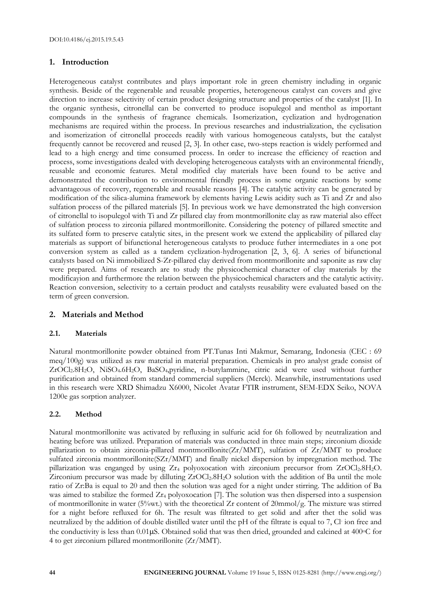#### **1. Introduction**

Heterogeneous catalyst contributes and plays important role in green chemistry including in organic synthesis. Beside of the regenerable and reusable properties, heterogeneous catalyst can covers and give direction to increase selectivity of certain product designing structure and properties of the catalyst [1]. In the organic synthesis, citronellal can be converted to produce isopulegol and menthol as important compounds in the synthesis of fragrance chemicals. Isomerization, cyclization and hydrogenation mechanisms are required within the process. In previous researches and industrialization, the cyclisation and isomerization of citronellal proceeds readily with various homogeneous catalysts, but the catalyst frequently cannot be recovered and reused [2, 3]. In other case, two-steps reaction is widely performed and lead to a high energy and time consumed process. In order to increase the efficiency of reaction and process, some investigations dealed with developing heterogeneous catalysts with an environmental friendly, reusable and economic features. Metal modified clay materials have been found to be active and demonstrated the contribution to environmental friendly process in some organic reactions by some advantageous of recovery, regenerable and reusable reasons [4]. The catalytic activity can be generated by modification of the silica-alumina framework by elements having Lewis acidity such as Ti and Zr and also sulfation process of the pillared materials [5]. In previous work we have demonstrated the high conversion of citronellal to isopulegol with Ti and Zr pillared clay from montmorillonite clay as raw material also effect of sulfation process to zirconia pillared montmorillonite. Considering the potency of pillared smectite and its sulfated form to preserve catalytic sites, in the present work we extend the applicability of pillared clay materials as support of bifunctional heterogeneous catalysts to produce futher intermediates in a one pot conversion system as called as a tandem cyclization-hydrogenation [2, 3, 6]. A series of bifunctional catalysts based on Ni immobilized S-Zr-pillared clay derived from montmorillonite and saponite as raw clay were prepared. Aims of research are to study the physicochemical character of clay materials by the modificayion and furthermore the relation between the physicochemical characters and the catalytic activity. Reaction conversion, selectivity to a certain product and catalysts reusability were evaluated based on the term of green conversion.

### **2. Materials and Method**

#### **2.1. Materials**

Natural montmorillonite powder obtained from PT.Tunas Inti Makmur, Semarang, Indonesia (CEC : 69 meq/100g) was utilized as raw material in material preparation. Chemicals in pro analyst grade consist of ZrOCl2.8H2O, NiSO4.6H2O, BaSO4,pyridine, n-butylammine, citric acid were used without further purification and obtained from standard commercial suppliers (Merck). Meanwhile, instrumentations used in this research were XRD Shimadzu X6000, Nicolet Avatar FTIR instrument, SEM-EDX Seiko, NOVA 1200e gas sorption analyzer.

#### **2.2. Method**

Natural montmorillonite was activated by refluxing in sulfuric acid for 6h followed by neutralization and heating before was utilized. Preparation of materials was conducted in three main steps; zirconium dioxide pillarization to obtain zirconia-pillared montmorillonite( $Zr/MMT$ ), sulfation of  $Zr/MMT$  to produce sulfated zirconia montmorillonite(SZr/MMT) and finally nickel dispersion by impregnation method. The pillarization was enganged by using Zr<sup>4</sup> polyoxocation with zirconium precursor from ZrOCl2.8H2O. Zirconium precursor was made by dilluting  $ZrOCl<sub>2</sub>.8H<sub>2</sub>O$  solution with the addition of Ba until the mole ratio of Zr:Ba is equal to 20 and then the solution was aged for a night under stirring. The addition of Ba was aimed to stabilize the formed Zr<sub>4</sub> polyoxocation [7]. The solution was then dispersed into a suspension of montmorillonite in water (5%wt.) with the theoretical Zr content of 20mmol/g. The mixture was stirred for a night before refluxed for 6h. The result was filtrated to get solid and after thet the solid was neutralized by the addition of double distilled water until the pH of the filtrate is equal to 7, Cl-ion free and the conductivity is less than  $0.01\mu S$ . Obtained solid that was then dried, grounded and calcined at 400 $\circ$ C for 4 to get zirconium pillared montmorillonite (Zr/MMT).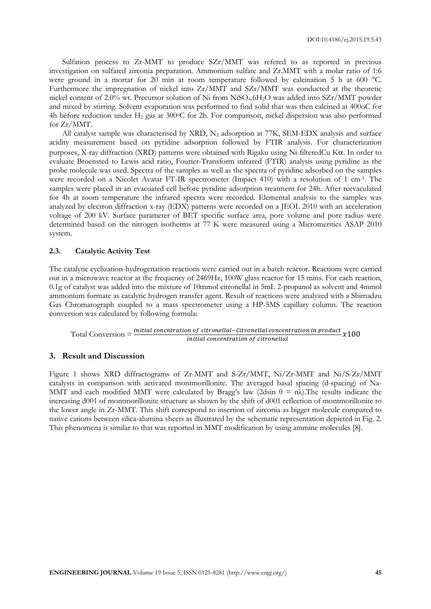Sulfation process to Zr-MMT to produce SZr/MMT was refered to as reported in previous investigation on sulfated zirconia preparation. Ammonium sulfate and Zr.MMT with a molar ratio of 1:6 were ground in a mortar for 20 min at room temperature followed by calcination 5 h at 600 °C. Furthermore the impregnation of nickel into Zr/MMT and SZr/MMT was conducted at the theoretic nickel content of 2.0% wt. Precursor solution of Ni from NiSO4.6H2O was added into SZr/MMT powder and mixed by stirring. Solvent evaporation was performed to find solid that was then calcined at 400oC for 4h before reduction under  $H_2$  gas at 300 $\degree$ C for 2h. For comparison, nickel dispersion was also performed for Zr/MMT.

All catalyst sample was characterised by XRD,  $N_2$  adsorption at 77K, SEM-EDX analysis and surface acidity measurement based on pyridine adsorption followed by FTIR analysis. For characterization purposes, X-ray diffraction (XRD) patterns were obtained with Rigaku using Ni-filteredCu Ka. In order to evaluate Broensted to Lewis acid ratio, Fourier-Transform infrared (FTIR) analysis using pyridine as the probe molecule was used. Spectra of the samples as well as the spectra of pyridine adsorbed on the samples were recorded on a Nicolet Avatar FT-IR spectrometer (Impact 410) with a resolution of 1 cm-1 . The samples were placed in an evacuated cell before pyridine adsorption treatment for 24h. After reevaculated for 4h at room temperature the infrared spectra were recorded. Elemental analysis to the samples was analyzed by electron diffraction x-ray (EDX) patterns were recorded on a JEOL 2010 with an acceleration voltage of 200 kV. Surface parameter of BET specific surface area, pore volume and pore radius were determined based on the nitrogen isotherms at 77 K were measured using a Micromeritics ASAP 2010 system.

#### **2.3. Catalytic Activity Test**

The catalytic cyclization-hydrogenation reactions were carried out in a batch reactor. Reactions were carried out in a microwave reactor at the frequency of 2469Hz, 100W glass reactor for 15 mins. For each reaction, 0.1g of catalyst was added into the mixture of 10mmol citronellal in 5mL 2-propanol as solvent and 4mmol ammonium formate as catalytic hydrogen transfer agent. Result of reactions were analyzed with a Shimadzu Gas Chromatograph coupled to a mass spectrometer using a HP-5MS capillary column. The reaction conversion was calculated by following formula:

Total Conversion = initial concentration of citronellal

#### **3. Result and Discussion**

Figure 1 shows XRD diffractograms of Zr-MMT and S-Zr/MMT, Ni/Zr-MMT and Ni/S-Zr/MMT catalysts in comparison with activated montmorillonite. The averaged basal spacing (d-spacing) of Na-MMT and each modified MMT were calculated by Bragg's law (2dsin  $\theta = n\lambda$ ). The results indicate the increasing d001 of montmorillonite structure as shown by the shift of d001 reflection of montmorillonite to the lower angle in Zr-MMT. This shift correspond to insertion of zirconia as bigger molecule compared to native cations between silica-alumina sheets as illustrated by the schematic representation depicted in Fig. 2. This phenomena is similar to that was reported in MMT modification by using ammine molecules [8].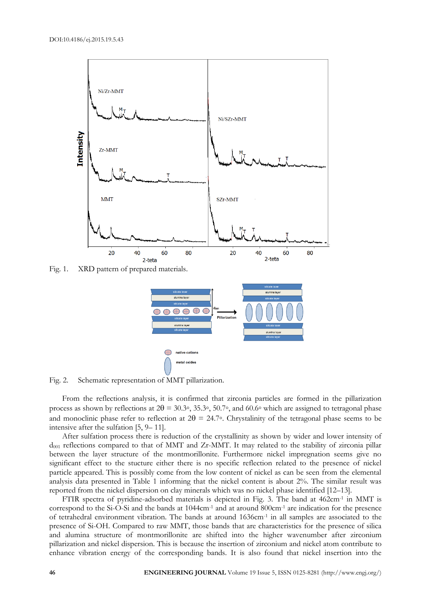

Fig. 1. XRD pattern of prepared materials.



Fig. 2. Schematic representation of MMT pillarization.

From the reflections analysis, it is confirmed that zirconia particles are formed in the pillarization process as shown by reflections at  $2\theta = 30.3\degree$ ,  $35.3\degree$ ,  $50.7\degree$ , and  $60.6\degree$  which are assigned to tetragonal phase and monoclinic phase refer to reflection at  $2\theta = 24.7$ °. Chrystalinity of the tetragonal phase seems to be intensive after the sulfation [5, 9– 11].

After sulfation process there is reduction of the crystallinity as shown by wider and lower intensity of  $d_{001}$  reflections compared to that of MMT and Zr-MMT. It may related to the stability of zirconia pillar between the layer structure of the montmorillonite. Furthermore nickel impregnation seems give no significant effect to the stucture either there is no specific reflection related to the presence of nickel particle appeared. This is possibly come from the low content of nickel as can be seen from the elemental analysis data presented in Table 1 informing that the nickel content is about 2%. The similar result was reported from the nickel dispersion on clay minerals which was no nickel phase identified [12–13].

FTIR spectra of pyridine-adsorbed materials is depicted in Fig. 3. The band at 462cm-1 in MMT is correspond to the Si-O-Si and the bands at 1044cm-1 and at around 800cm-1 are indication for the presence of tetrahedral environment vibration. The bands at around 1636cm-1 in all samples are associated to the presence of Si-OH. Compared to raw MMT, those bands that are characteristics for the presence of silica and alumina structure of montmorillonite are shifted into the higher wavenumber after zirconium pillarization and nickel dispersion. This is because the insertion of zirconium and nickel atom contribute to enhance vibration energy of the corresponding bands. It is also found that nickel insertion into the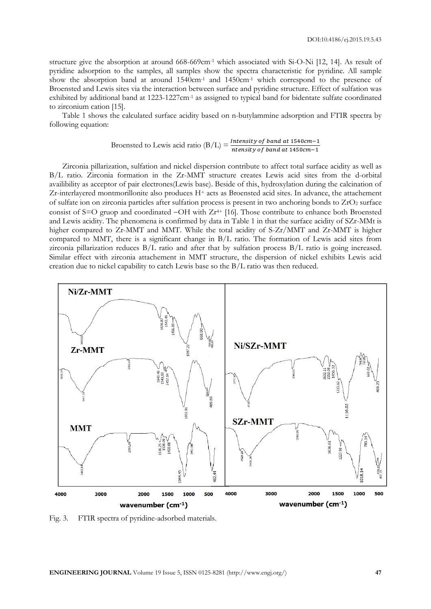structure give the absorption at around 668-669cm<sup>-1</sup> which associated with Si-O-Ni [12, 14]. As result of pyridine adsorption to the samples, all samples show the spectra characteristic for pyridine. All sample show the absorption band at around 1540cm-1 and 1450cm-1 which correspond to the presence of Broensted and Lewis sites via the interaction between surface and pyridine structure. Effect of sulfation was exhibited by additional band at 1223-1227cm-1 as assigned to typical band for bidentate sulfate coordinated to zirconium cation [15].

Table 1 shows the calculated surface acidity based on n-butylammine adsorption and FTIR spectra by following equation:

Broensted to Lewis acid ratio (B/L) = 
$$
\frac{Intensity \ of \ band \ at \ 1540cm-1}{ntensity \ of \ band \ at \ 1450cm-1}
$$

Zirconia pillarization, sulfation and nickel dispersion contribute to affect total surface acidity as well as B/L ratio. Zirconia formation in the Zr-MMT structure creates Lewis acid sites from the d-orbital availibility as acceptor of pair electrones(Lewis base). Beside of this, hydroxylation during the calcination of Zr-interlayered montmorillonite also produces H<sup>+</sup> acts as Broensted acid sites. In advance, the attachement of sulfate ion on zirconia particles after sulfation process is present in two anchoring bonds to  $ZrO<sub>2</sub>$  surface consist of  $S=O$  gruop and coordinated  $-OH$  with  $Zr^{4+}$  [16]. Those contribute to enhance both Broensted and Lewis acidity. The phenomena is confirmed by data in Table 1 in that the surface acidity of SZr-MMt is higher compared to Zr-MMT and MMT. While the total acidity of S-Zr/MMT and Zr-MMT is higher compared to MMT, there is a significant change in B/L ratio. The formation of Lewis acid sites from zirconia pillarization reduces B/L ratio and after that by sulfation process B/L ratio is going increased. Similar effect with zirconia attachement in MMT structure, the dispersion of nickel exhibits Lewis acid creation due to nickel capability to catch Lewis base so the B/L ratio was then reduced.



Fig. 3. FTIR spectra of pyridine-adsorbed materials.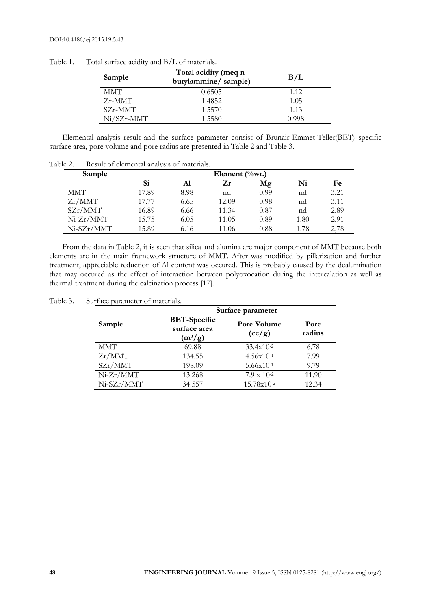| Sample       | Total acidity (meq n-<br>butylammine/sample) | B/L   |  |
|--------------|----------------------------------------------|-------|--|
| <b>MMT</b>   | 0.6505                                       | 1.12  |  |
| $Zr$ -MMT    | 1.4852                                       | 1.05  |  |
| $SZr$ -MMT   | 1.5570                                       | 1.13  |  |
| $Ni/SZr-MMT$ | 1.5580                                       | 0.998 |  |

Table 1. Total surface acidity and B/L of materials.

Elemental analysis result and the surface parameter consist of Brunair-Emmet-Teller(BET) specific surface area, pore volume and pore radius are presented in Table 2 and Table 3.

| Sample      |       |      | Element $(\%$ wt.) |      |      |      |
|-------------|-------|------|--------------------|------|------|------|
|             | Si    | Al   | Zr                 | Mφ   | Ni   | Fe   |
| <b>MMT</b>  | 17.89 | 8.98 | nd                 | 0.99 | nd   | 3.21 |
| Zr/MMT      | 17.77 | 6.65 | 12.09              | 0.98 | nd   | 3.11 |
| SZr/MMT     | 16.89 | 6.66 | 11.34              | 0.87 | nd   | 2.89 |
| $Ni-Zr/MMT$ | 15.75 | 6.05 | 11.05              | 0.89 | 1.80 | 2.91 |
| Ni-SZr/MMT  | 15.89 | 6.16 | 11.06              | 0.88 | 1.78 | 2,78 |

Table 2. Result of elemental analysis of materials.

From the data in Table 2, it is seen that silica and alumina are major component of MMT because both elements are in the main framework structure of MMT. After was modified by pillarization and further treatment, appreciable reduction of Al content was occured. This is probably caused by the dealumination that may occured as the effect of interaction between polyoxocation during the intercalation as well as thermal treatment during the calcination process [17].

Table 3. Surface parameter of materials.

|             | Surface parameter                                |                       |                |  |
|-------------|--------------------------------------------------|-----------------------|----------------|--|
| Sample      | <b>BET-Specific</b><br>surface area<br>$(m^2/g)$ | Pore Volume<br>(cc/g) | Pore<br>radius |  |
| <b>MMT</b>  | 69.88                                            | $33.4x10^{-2}$        | 6.78           |  |
| Zr/MMT      | 134.55                                           | $4.56x10^{-1}$        | 7.99           |  |
| SZr/MMT     | 198.09                                           | $5.66x10^{-1}$        | 9.79           |  |
| $Ni-Zr/MMT$ | 13.268                                           | $7.9 \times 10^{-2}$  | 11.90          |  |
| Ni-SZr/MMT  | 34.557                                           | $15.78x10^{-2}$       | 12.34          |  |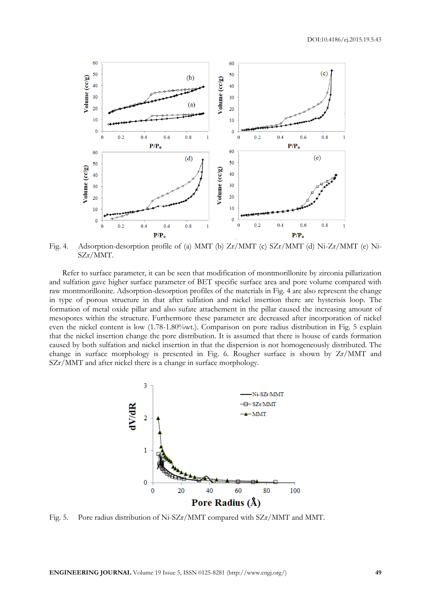DOI:10.4186/ej.2015.19.5.43



Fig. 4. Adsorption-desorption profile of (a) MMT (b) Zr/MMT (c) SZr/MMT (d) Ni-Zr/MMT (e) Ni-SZr/MMT.

Refer to surface parameter, it can be seen that modification of montmorillonite by zirconia pillarization and sulfation gave higher surface parameter of BET specific surface area and pore volume compared with raw montmorillonite. Adsorption-desorption profiles of the materials in Fig. 4 are also represent the change in type of porous structure in that after sulfation and nickel insertion there are hysterisis loop. The formation of metal oxide pillar and also sufate attachement in the pillar caused the increasing amount of mesopores within the structure. Furthermore these parameter are decreased after incorporation of nickel even the nickel content is low (1.78-1.80%wt.). Comparison on pore radius distribution in Fig. 5 explain that the nickel insertion change the pore distribution. It is assumed that there is house of cards formation caused by both sulfation and nickel insertion in that the dispersion is not homogeneously distributed. The change in surface morphology is presented in Fig. 6. Rougher surface is shown by Zr/MMT and SZr/MMT and after nickel there is a change in surface morphology.



Fig. 5. Pore radius distribution of Ni-SZr/MMT compared with SZr/MMT and MMT.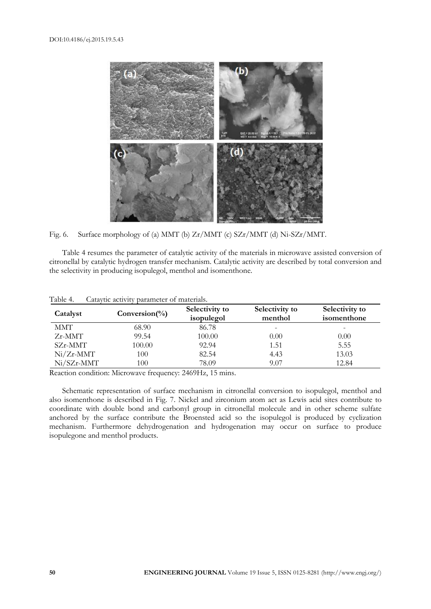

Fig. 6. Surface morphology of (a) MMT (b) Zr/MMT (c) SZr/MMT (d) Ni-SZr/MMT.

Table 4 resumes the parameter of catalytic activity of the materials in microwave assisted conversion of citronellal by catalytic hydrogen transfer mechanism. Catalytic activity are described by total conversion and the selectivity in producing isopulegol, menthol and isomenthone.

| Catalyst     | Conversion(%) | Selectivity to<br>isopulegol | Selectivity to<br>menthol | Selectivity to<br>isomenthone |
|--------------|---------------|------------------------------|---------------------------|-------------------------------|
| MMT          | 68.90         | 86.78                        |                           | $\overline{\phantom{a}}$      |
| $Zr$ -MMT    | 99.54         | 100.00                       | 0.00                      | 0.00                          |
| SZr-MMT      | 100.00        | 92.94                        | 1.51                      | 5.55                          |
| $Ni/Zr-MMT$  | 100           | 82.54                        | 4.43                      | 13.03                         |
| $Ni/SZr-MMT$ | 100           | 78.09                        | 9.07                      | 12.84                         |

Table 4. Cataytic activity parameter of materials.

Reaction condition: Microwave frequency: 2469Hz, 15 mins.

Schematic representation of surface mechanism in citronellal conversion to isopulegol, menthol and also isomenthone is described in Fig. 7. Nickel and zirconium atom act as Lewis acid sites contribute to coordinate with double bond and carbonyl group in citronellal molecule and in other scheme sulfate anchored by the surface contribute the Broensted acid so the isopulegol is produced by cyclization mechanism. Furthermore dehydrogenation and hydrogenation may occur on surface to produce isopulegone and menthol products.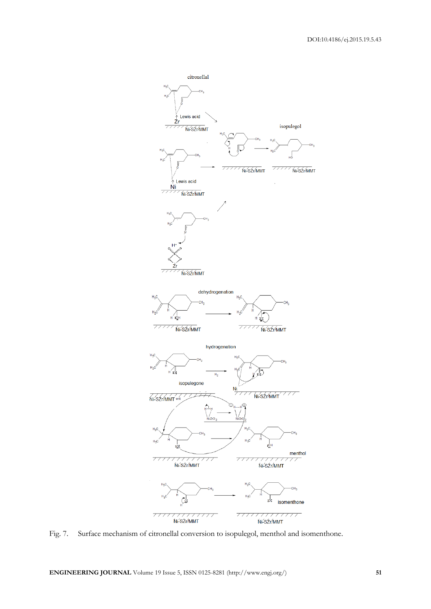

Fig. 7. Surface mechanism of citronellal conversion to isopulegol, menthol and isomenthone.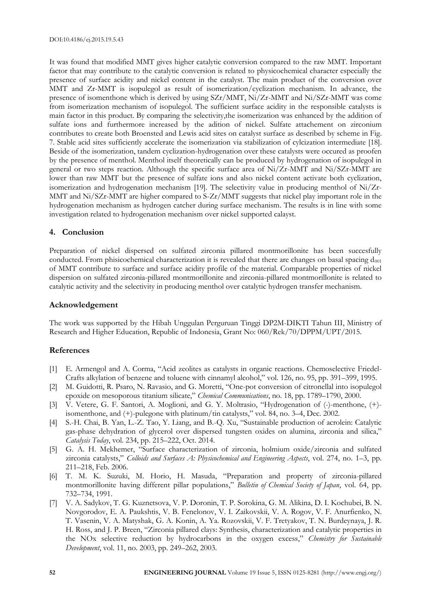It was found that modified MMT gives higher catalytic conversion compared to the raw MMT. Important factor that may contribute to the catalytic conversion is related to physicochemical character especially the presence of surface acidity and nickel content in the catalyst. The main product of the conversion over MMT and Zr-MMT is isopulegol as result of isomerization/cyclization mechanism. In advance, the presence of isomenthone which is derived by using SZr/MMT, Ni/Zr-MMT and Ni/SZr-MMT was come from isomerization mechanism of isopulegol. The sufficient surface acidity in the responsible catalysts is main factor in this product. By comparing the selectivity,the isomerization was enhanced by the addition of sulfate ions and furthermore increased by the adition of nickel. Sulfate attachement on zirconium contributes to create both Broensted and Lewis acid sites on catalyst surface as described by scheme in Fig. 7. Stable acid sites sufficiently accelerate the isomerization via stabilization of cylcization intermediate [18]. Beside of the isomerization, tandem cyclization-hydrogenation over these catalysts were occured as proofen by the presence of menthol. Menthol itself theoretically can be produced by hydrogenation of isopulegol in general or two steps reaction. Although the specific surface area of Ni/Zr-MMT and Ni/SZr-MMT are lower than raw MMT but the presence of sulfate ions and also nickel content activate both cyclization, isomerization and hydrogenation mechanism [19]. The selectivity value in producing menthol of Ni/Zr-MMT and Ni/SZr-MMT are higher compared to S-Zr/MMT suggests that nickel play important role in the hydrogenation mechanism as hydrogen catcher during surface mechanism. The results is in line with some investigation related to hydrogenation mechanism over nickel supported calayst.

#### **4. Conclusion**

Preparation of nickel dispersed on sulfated zirconia pillared montmorillonite has been succesfully conducted. From phisicochemical characterization it is revealed that there are changes on basal spacing d<sub>001</sub> of MMT contribute to surface and surface acidity profile of the material. Comparable properties of nickel dispersion on sulfated zirconia-pillared montmorillonite and zirconia-pillared montmorillonite is related to catalytic activity and the selectivity in producing menthol over catalytic hydrogen transfer mechanism.

#### **Acknowledgement**

The work was supported by the Hibah Unggulan Perguruan Tinggi DP2M-DIKTI Tahun III, Ministry of Research and Higher Education, Republic of Indonesia, Grant No: 060/Rek/70/DPPM/UPT/2015.

#### **References**

- [1] E. Armengol and A. Corma, "Acid zeolites as catalysts in organic reactions. Chemoselective Friedel-Crafts alkylation of benzene and toluene with cinnamyl alcohol," vol. 126, no. 95, pp. 391–399, 1995.
- [2] M. Guidotti, R. Psaro, N. Ravasio, and G. Moretti, "One-pot conversion of citronellal into isopulegol epoxide on mesoporous titanium silicate," *Chemical Communications*, no. 18, pp. 1789–1790, 2000.
- [3] V. Vetere, G. F. Santori, A. Moglioni, and G. Y. Moltrasio, "Hydrogenation of (-)-menthone, (+) isomenthone, and (+)-pulegone with platinum/tin catalysts," vol. 84, no. 3–4, Dec. 2002.
- [4] S.-H. Chai, B. Yan, L.-Z. Tao, Y. Liang, and B.-Q. Xu, "Sustainable production of acrolein: Catalytic gas-phase dehydration of glycerol over dispersed tungsten oxides on alumina, zirconia and silica," *Catalysis Today*, vol. 234, pp. 215–222, Oct. 2014.
- [5] G. A. H. Mekhemer, "Surface characterization of zirconia, holmium oxide/zirconia and sulfated zirconia catalysts," *Colloids and Surfaces A: Physicochemical and Engineering Aspects*, vol. 274, no. 1–3, pp. 211–218, Feb. 2006.
- [6] T. M. K. Suzuki, M. Horio, H. Masuda, "Preparation and property of zirconia-pillared montmorillonite having different pillar populations," *Bulletin of Chemical Society of Japan*, vol. 64, pp. 732–734, 1991.
- [7] V. A. Sadykov, T. G. Kuznetsova, V. P. Doronin, T. P. Sorokina, G. M. Alikina, D. I. Kochubei, B. N. Novgorodov, E. A. Paukshtis, V. B. Fenelonov, V. I. Zaikovskii, V. A. Rogov, V. F. Anurfienko, N. T. Vasenin, V. A. Matyshak, G. A. Konin, A. Ya. Rozovskii, V. F. Tretyakov, T. N. Burdeynaya, J. R. H. Ross, and J. P. Breen, "Zirconia pillared clays: Synthesis, characterization and catalytic properties in the NOx selective reduction by hydrocarbons in the oxygen excess," *Chemistry for Sustainable Development*, vol. 11, no. 2003, pp. 249–262, 2003.